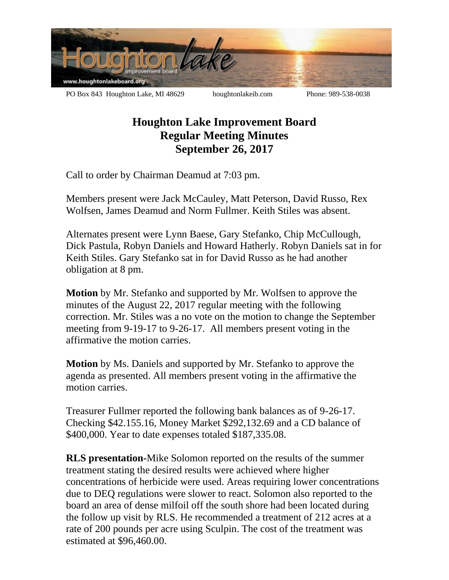

**Houghton Lake Improvement Board Regular Meeting Minutes September 26, 2017**

Call to order by Chairman Deamud at 7:03 pm.

Members present were Jack McCauley, Matt Peterson, David Russo, Rex Wolfsen, James Deamud and Norm Fullmer. Keith Stiles was absent.

Alternates present were Lynn Baese, Gary Stefanko, Chip McCullough, Dick Pastula, Robyn Daniels and Howard Hatherly. Robyn Daniels sat in for Keith Stiles. Gary Stefanko sat in for David Russo as he had another obligation at 8 pm.

**Motion** by Mr. Stefanko and supported by Mr. Wolfsen to approve the minutes of the August 22, 2017 regular meeting with the following correction. Mr. Stiles was a no vote on the motion to change the September meeting from 9-19-17 to 9-26-17. All members present voting in the affirmative the motion carries.

**Motion** by Ms. Daniels and supported by Mr. Stefanko to approve the agenda as presented. All members present voting in the affirmative the motion carries.

Treasurer Fullmer reported the following bank balances as of 9-26-17. Checking \$42.155.16, Money Market \$292,132.69 and a CD balance of \$400,000. Year to date expenses totaled \$187,335.08.

**RLS presentation-**Mike Solomon reported on the results of the summer treatment stating the desired results were achieved where higher concentrations of herbicide were used. Areas requiring lower concentrations due to DEQ regulations were slower to react. Solomon also reported to the board an area of dense milfoil off the south shore had been located during the follow up visit by RLS. He recommended a treatment of 212 acres at a rate of 200 pounds per acre using Sculpin. The cost of the treatment was estimated at \$96,460.00.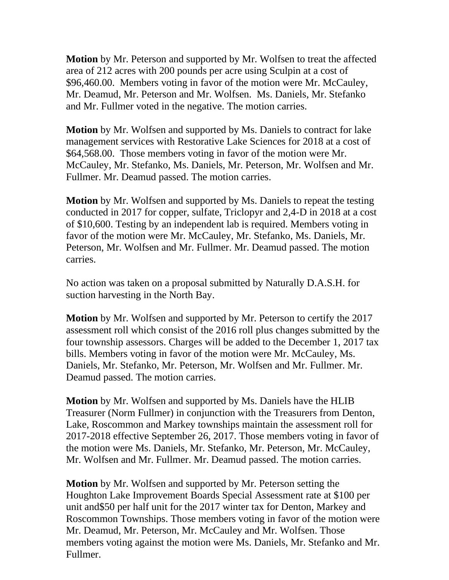**Motion** by Mr. Peterson and supported by Mr. Wolfsen to treat the affected area of 212 acres with 200 pounds per acre using Sculpin at a cost of \$96,460.00. Members voting in favor of the motion were Mr. McCauley, Mr. Deamud, Mr. Peterson and Mr. Wolfsen. Ms. Daniels, Mr. Stefanko and Mr. Fullmer voted in the negative. The motion carries.

**Motion** by Mr. Wolfsen and supported by Ms. Daniels to contract for lake management services with Restorative Lake Sciences for 2018 at a cost of \$64,568.00. Those members voting in favor of the motion were Mr. McCauley, Mr. Stefanko, Ms. Daniels, Mr. Peterson, Mr. Wolfsen and Mr. Fullmer. Mr. Deamud passed. The motion carries.

**Motion** by Mr. Wolfsen and supported by Ms. Daniels to repeat the testing conducted in 2017 for copper, sulfate, Triclopyr and 2,4-D in 2018 at a cost of \$10,600. Testing by an independent lab is required. Members voting in favor of the motion were Mr. McCauley, Mr. Stefanko, Ms. Daniels, Mr. Peterson, Mr. Wolfsen and Mr. Fullmer. Mr. Deamud passed. The motion carries.

No action was taken on a proposal submitted by Naturally D.A.S.H. for suction harvesting in the North Bay.

**Motion** by Mr. Wolfsen and supported by Mr. Peterson to certify the 2017 assessment roll which consist of the 2016 roll plus changes submitted by the four township assessors. Charges will be added to the December 1, 2017 tax bills. Members voting in favor of the motion were Mr. McCauley, Ms. Daniels, Mr. Stefanko, Mr. Peterson, Mr. Wolfsen and Mr. Fullmer. Mr. Deamud passed. The motion carries.

**Motion** by Mr. Wolfsen and supported by Ms. Daniels have the HLIB Treasurer (Norm Fullmer) in conjunction with the Treasurers from Denton, Lake, Roscommon and Markey townships maintain the assessment roll for 2017-2018 effective September 26, 2017. Those members voting in favor of the motion were Ms. Daniels, Mr. Stefanko, Mr. Peterson, Mr. McCauley, Mr. Wolfsen and Mr. Fullmer. Mr. Deamud passed. The motion carries.

**Motion** by Mr. Wolfsen and supported by Mr. Peterson setting the Houghton Lake Improvement Boards Special Assessment rate at \$100 per unit and\$50 per half unit for the 2017 winter tax for Denton, Markey and Roscommon Townships. Those members voting in favor of the motion were Mr. Deamud, Mr. Peterson, Mr. McCauley and Mr. Wolfsen. Those members voting against the motion were Ms. Daniels, Mr. Stefanko and Mr. Fullmer.